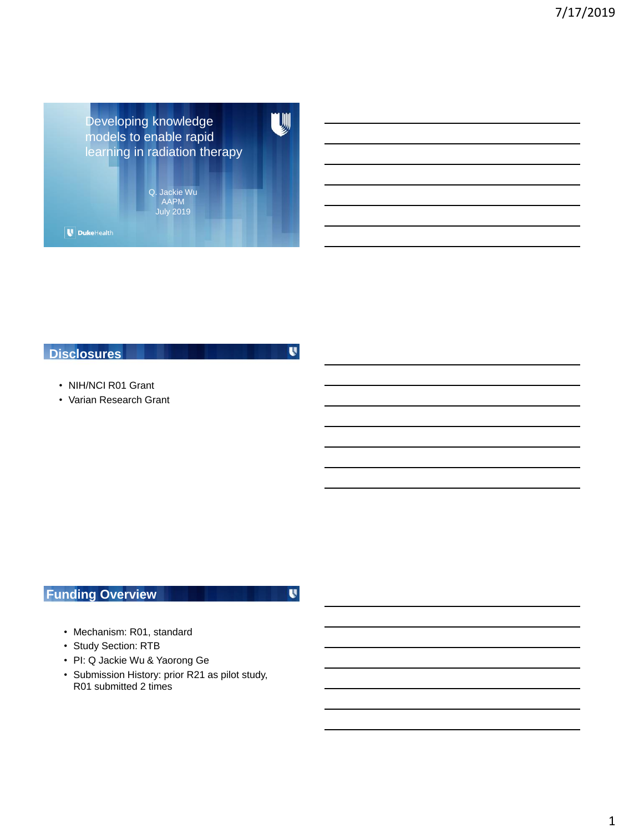Developing knowledge models to enable rapid learning in radiation therapy

> Q. Jackie Wu AAPM July 2019

 $\boxed{\blacksquare}$  DukeHealth

### **Disclosures**

 $\mathbf{U}$ 

U

- NIH/NCI R01 Grant
- Varian Research Grant

# **Funding Overview**

 $\mathbf{U}$ 

- Mechanism: R01, standard
- Study Section: RTB
- PI: Q Jackie Wu & Yaorong Ge
- Submission History: prior R21 as pilot study, R01 submitted 2 times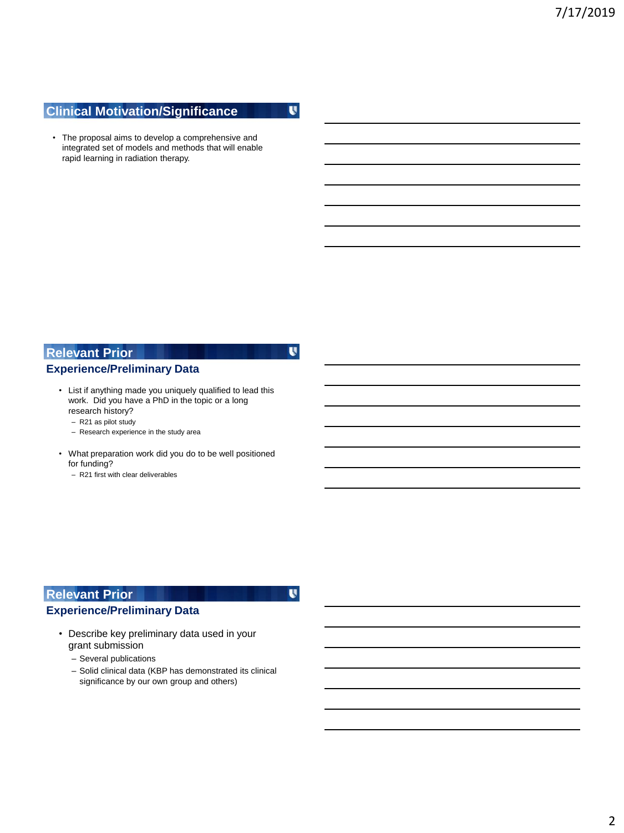## **Clinical Motivation/Significance**

 $\mathbf{U}$ 

 $\mathbf{U}$ 

U

• The proposal aims to develop a comprehensive and integrated set of models and methods that will enable rapid learning in radiation therapy.

## **Relevant Prior**

### **Experience/Preliminary Data**

- **Slides)** List if anything made you uniquely qualified to lead this work. Did you have a PhD in the topic or a long research history?
	- R21 as pilot study
	- Research experience in the study area
	- What preparation work did you do to be well positioned for funding?
		- R21 first with clear deliverables

## **Relevant Prior**

### **Experience/Preliminary Data**

- Describe key preliminary data used in your grant submission
	- Several publications
	- Solid clinical data (KBP has demonstrated its clinical significance by our own group and others)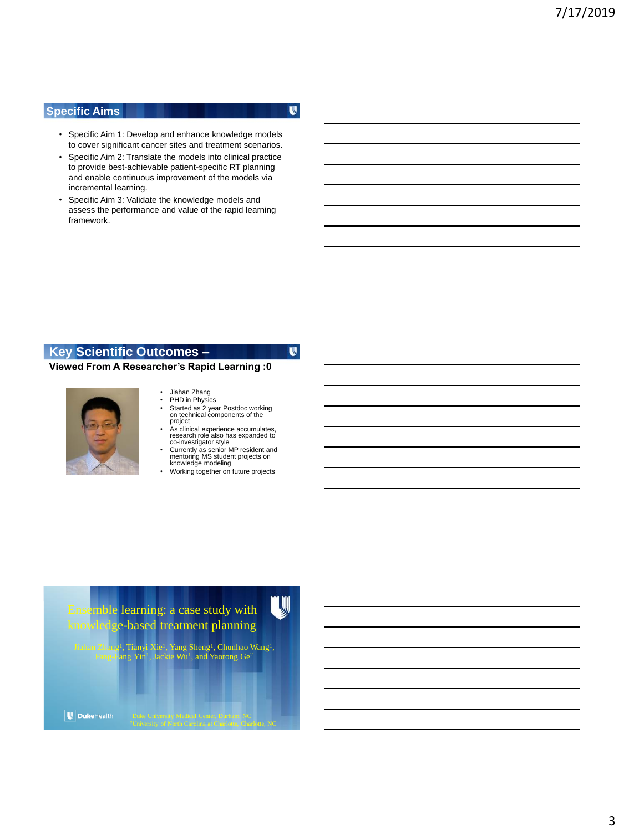#### **Specific Aims**

U

U

- Specific Aim 1: Develop and enhance knowledge models to cover significant cancer sites and treatment scenarios.
- Specific Aim 2: Translate the models into clinical practice to provide best-achievable patient-specific RT planning and enable continuous improvement of the models via incremental learning.
- Specific Aim 3: Validate the knowledge models and assess the performance and value of the rapid learning framework.

#### **Key Scientific Outcomes –**

#### **Viewed From A Researcher's Rapid Learning :0**



- Jiahan Zhang<br>• PHD in Physic
- PHD in Physics<br>• Started as 2 year Started as 2 year Postdoc working on technical components of the
- project • As clinical experience accumulates, research role also has expanded to co-investigator style
- Currently as senior MP resident and mentoring MS student projects on knowledge modeling
- Working together on future projects



Jiahan Zhang<sup>1</sup>, Tianyi Xie<sup>1</sup>, Yang Sheng<sup>1</sup>, Chunhao Wang<sup>1</sup>,<br>Fang-Fang Yin<sup>1</sup>, Jackie Wu<sup>1</sup>, and Yaorong Ge<sup>2</sup>

 $\bigcup$  DukeHealth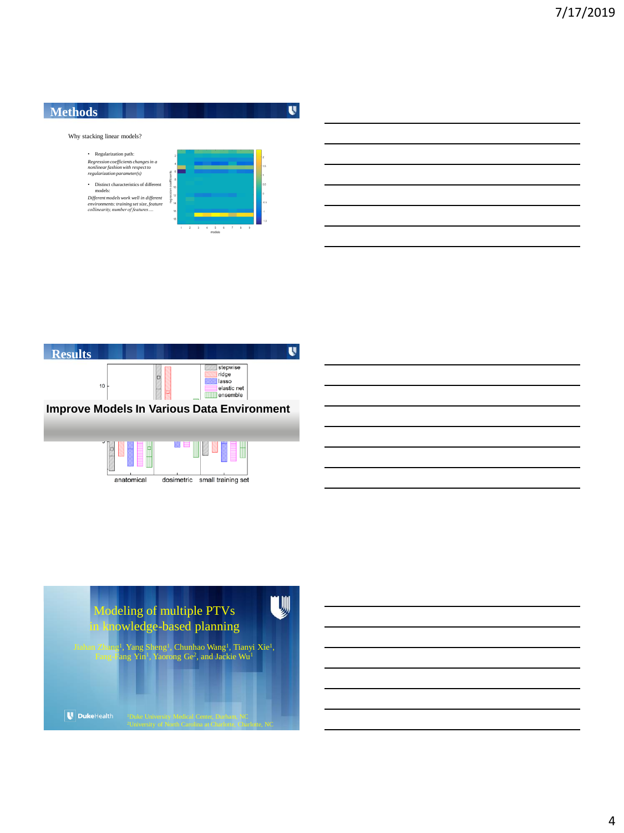



anatomical

dosimetric small training set

U Modeling of multiple PTVs in knowledge-based planning Jiahan Zhang<sup>1</sup>, Yang Sheng<sup>1</sup>, Chunhao Wang<sup>1</sup>, Tianyi Xie<sup>1</sup>,<br>Fang-Fang Yin<sup>1</sup>, Yaorong Ge<sup>2</sup>, and Jackie Wu<sup>1</sup> U DukeHealth

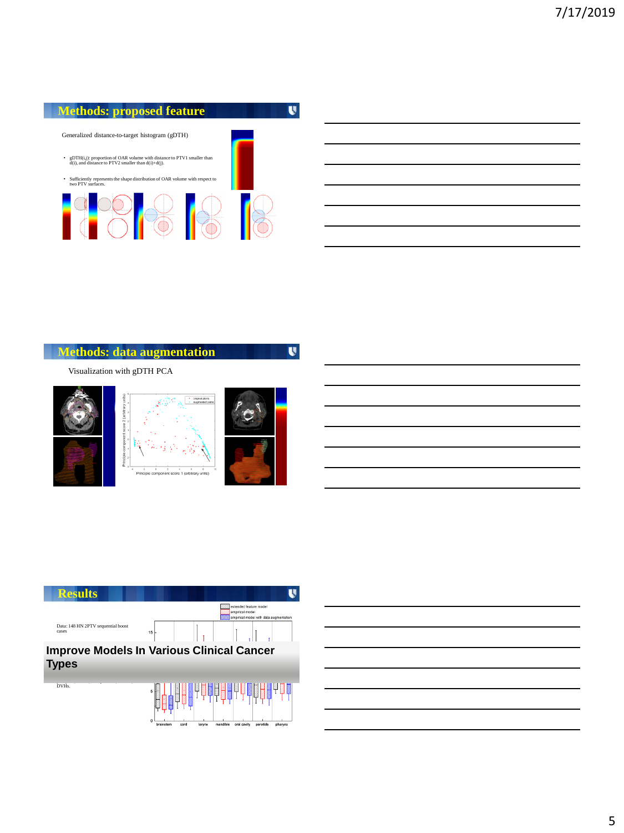### **Methods: proposed feature**

Generalized distance-to-target histogram (gDTH)

- gDTH(i,j): proportion of OAR volume with distance to PTV1 smaller than d(i), and distance to PTV2 smaller than d(i)+d(j).
- Sufficiently represents the shape distribution of OAR volume with respect to two PTV surfaces.



## **Methods: data augmentation**

 $\mathbf{U}$ 

U

Visualization with gDTH PCA





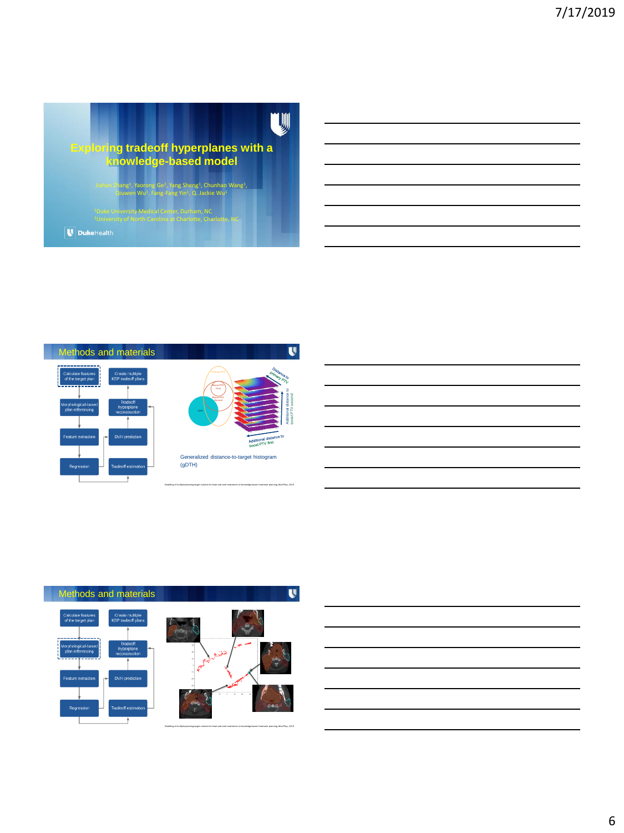



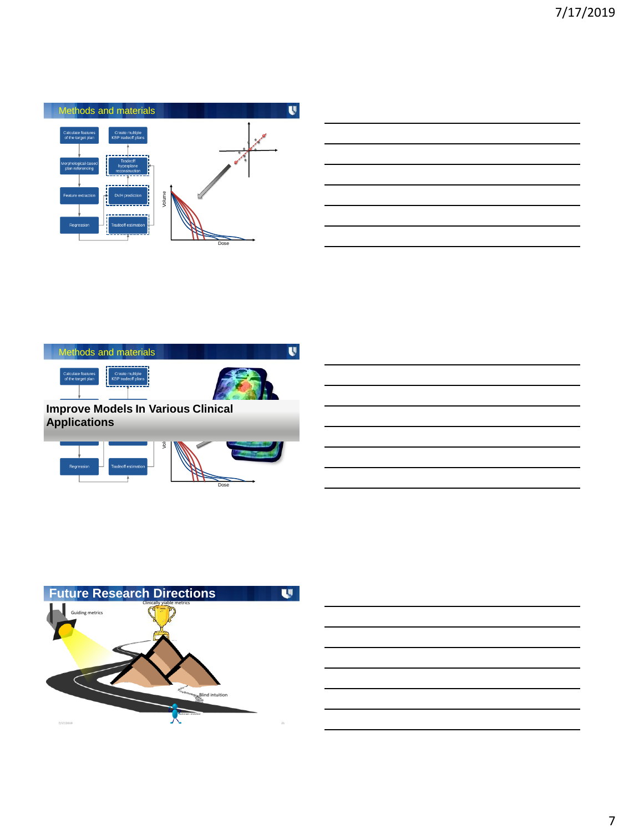